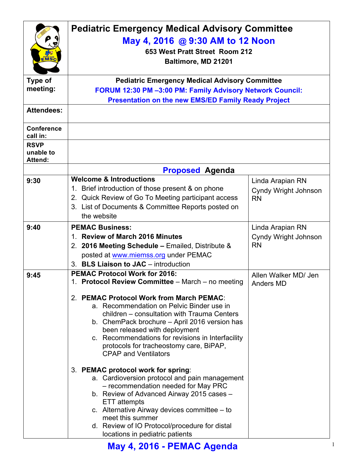|                                     | <b>Pediatric Emergency Medical Advisory Committee</b><br>May 4, 2016 @ 9:30 AM to 12 Noon<br>653 West Pratt Street Room 212                                                                                                                                                                                                                           |                                          |
|-------------------------------------|-------------------------------------------------------------------------------------------------------------------------------------------------------------------------------------------------------------------------------------------------------------------------------------------------------------------------------------------------------|------------------------------------------|
| EMSC                                | Baltimore, MD 21201                                                                                                                                                                                                                                                                                                                                   |                                          |
| <b>Type of</b>                      | <b>Pediatric Emergency Medical Advisory Committee</b>                                                                                                                                                                                                                                                                                                 |                                          |
| meeting:                            | FORUM 12:30 PM -3:00 PM: Family Advisory Network Council:                                                                                                                                                                                                                                                                                             |                                          |
|                                     | <b>Presentation on the new EMS/ED Family Ready Project</b>                                                                                                                                                                                                                                                                                            |                                          |
| <b>Attendees:</b>                   |                                                                                                                                                                                                                                                                                                                                                       |                                          |
| <b>Conference</b><br>call in:       |                                                                                                                                                                                                                                                                                                                                                       |                                          |
| <b>RSVP</b><br>unable to<br>Attend: |                                                                                                                                                                                                                                                                                                                                                       |                                          |
|                                     | <b>Proposed Agenda</b>                                                                                                                                                                                                                                                                                                                                |                                          |
| 9:30                                | <b>Welcome &amp; Introductions</b>                                                                                                                                                                                                                                                                                                                    | Linda Arapian RN                         |
|                                     | 1. Brief introduction of those present & on phone                                                                                                                                                                                                                                                                                                     | <b>Cyndy Wright Johnson</b>              |
|                                     | 2. Quick Review of Go To Meeting participant access                                                                                                                                                                                                                                                                                                   | <b>RN</b>                                |
|                                     | 3. List of Documents & Committee Reports posted on                                                                                                                                                                                                                                                                                                    |                                          |
|                                     | the website                                                                                                                                                                                                                                                                                                                                           |                                          |
| 9:40                                | <b>PEMAC Business:</b>                                                                                                                                                                                                                                                                                                                                | Linda Arapian RN                         |
|                                     | 1. Review of March 2016 Minutes                                                                                                                                                                                                                                                                                                                       | Cyndy Wright Johnson                     |
|                                     | 2. 2016 Meeting Schedule - Emailed, Distribute &                                                                                                                                                                                                                                                                                                      | <b>RN</b>                                |
|                                     | posted at www.miemss.org under PEMAC<br>3. BLS Liaison to JAC - introduction                                                                                                                                                                                                                                                                          |                                          |
|                                     | <b>PEMAC Protocol Work for 2016:</b>                                                                                                                                                                                                                                                                                                                  |                                          |
| 9:45                                | 1. Protocol Review Committee - March - no meeting                                                                                                                                                                                                                                                                                                     | Allen Walker MD/ Jen<br><b>Anders MD</b> |
|                                     | 2. PEMAC Protocol Work from March PEMAC:<br>a. Recommendation on Pelvic Binder use in<br>children - consultation with Trauma Centers<br>b. ChemPack brochure – April 2016 version has<br>been released with deployment<br>c. Recommendations for revisions in Interfacility<br>protocols for tracheostomy care, BiPAP,<br><b>CPAP and Ventilators</b> |                                          |
|                                     | 3. PEMAC protocol work for spring:<br>a. Cardioversion protocol and pain management<br>- recommendation needed for May PRC<br>b. Review of Advanced Airway 2015 cases -<br>ETT attempts<br>c. Alternative Airway devices committee $-$ to<br>meet this summer<br>d. Review of IO Protocol/procedure for distal<br>locations in pediatric patients     |                                          |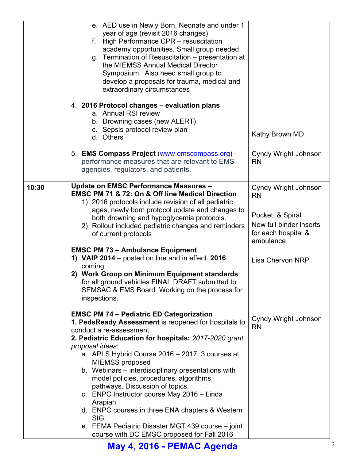|       | e. AED use in Newly Born, Neonate and under 1<br>year of age (revisit 2016 changes)                                                                                             |                                                                                |
|-------|---------------------------------------------------------------------------------------------------------------------------------------------------------------------------------|--------------------------------------------------------------------------------|
|       | f. High Performance CPR – resuscitation<br>academy opportunities. Small group needed<br>g. Termination of Resuscitation – presentation at<br>the MIEMSS Annual Medical Director |                                                                                |
|       | Symposium. Also need small group to<br>develop a proposals for trauma, medical and<br>extraordinary circumstances                                                               |                                                                                |
|       | 4. 2016 Protocol changes – evaluation plans<br>a. Annual RSI review<br>b. Drowning cases (new ALERT)<br>c. Sepsis protocol review plan                                          |                                                                                |
|       | d. Others                                                                                                                                                                       | Kathy Brown MD                                                                 |
|       | 5. EMS Compass Project (www.emscompass.org) -<br>performance measures that are relevant to EMS<br>agencies, regulators, and patients.                                           | Cyndy Wright Johnson<br><b>RN</b>                                              |
| 10:30 | <b>Update on EMSC Performance Measures -</b><br><b>EMSC PM 71 &amp; 72: On &amp; Off line Medical Direction</b><br>1) 2016 protocols include revision of all pediatric          | Cyndy Wright Johnson<br><b>RN</b>                                              |
|       | ages, newly born protocol update and changes to<br>both drowning and hypoglycemia protocols.<br>2) Rollout included pediatric changes and reminders<br>of current protocols     | Pocket & Spiral<br>New full binder inserts<br>for each hospital &<br>ambulance |
|       | <b>EMSC PM 73 - Ambulance Equipment</b><br>1) VAIP 2014 – posted on line and in effect. 2016                                                                                    | <b>Lisa Chervon NRP</b>                                                        |
|       | coming.<br>2) Work Group on Minimum Equipment standards<br>for all ground vehicles FINAL DRAFT submitted to<br>SEMSAC & EMS Board. Working on the process for<br>inspections.   |                                                                                |
|       | <b>EMSC PM 74 - Pediatric ED Categorization</b><br>1. PedsReady Assessment is reopened for hospitals to<br>conduct a re-assessment.                                             | Cyndy Wright Johnson<br><b>RN</b>                                              |
|       | 2. Pediatric Education for hospitals: 2017-2020 grant<br>proposal ideas:                                                                                                        |                                                                                |
|       | a. APLS Hybrid Course 2016 - 2017: 3 courses at<br><b>MIEMSS proposed</b>                                                                                                       |                                                                                |
|       | b. Webinars – interdisciplinary presentations with<br>model policies, procedures, algorithms,                                                                                   |                                                                                |
|       | pathways. Discussion of topics.<br>c. ENPC Instructor course May 2016 - Linda                                                                                                   |                                                                                |
|       | Arapian<br>d. ENPC courses in three ENA chapters & Western<br><b>SIG</b>                                                                                                        |                                                                                |
|       | e. FEMA Pediatric Disaster MGT 439 course – joint<br>course with DC EMSC proposed for Fall 2016                                                                                 |                                                                                |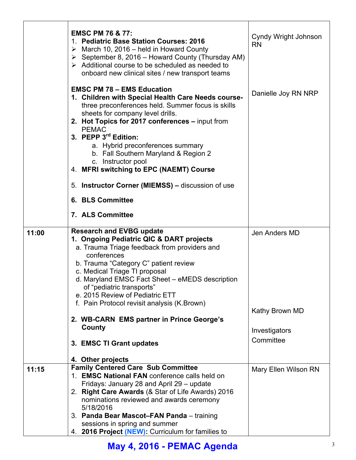|       | <b>EMSC PM 76 &amp; 77:</b><br>1. Pediatric Base Station Courses: 2016<br>$\triangleright$ March 10, 2016 – held in Howard County<br>$\triangleright$ September 8, 2016 – Howard County (Thursday AM)<br>$\triangleright$ Additional course to be scheduled as needed to<br>onboard new clinical sites / new transport teams                                                                                                                                                                    | Cyndy Wright Johnson<br><b>RN</b>                             |
|-------|-------------------------------------------------------------------------------------------------------------------------------------------------------------------------------------------------------------------------------------------------------------------------------------------------------------------------------------------------------------------------------------------------------------------------------------------------------------------------------------------------|---------------------------------------------------------------|
|       | <b>EMSC PM 78 - EMS Education</b><br>1. Children with Special Health Care Needs course-<br>three preconferences held. Summer focus is skills<br>sheets for company level drills.<br>2. Hot Topics for 2017 conferences - input from<br><b>PEMAC</b><br>3. PEPP 3rd Edition:<br>a. Hybrid preconferences summary<br>b. Fall Southern Maryland & Region 2<br>c. Instructor pool<br>4. MFRI switching to EPC (NAEMT) Course                                                                        | Danielle Joy RN NRP                                           |
|       | 5. Instructor Corner (MIEMSS) – discussion of use                                                                                                                                                                                                                                                                                                                                                                                                                                               |                                                               |
|       | <b>6. BLS Committee</b>                                                                                                                                                                                                                                                                                                                                                                                                                                                                         |                                                               |
|       | 7. ALS Committee                                                                                                                                                                                                                                                                                                                                                                                                                                                                                |                                                               |
| 11:00 | <b>Research and EVBG update</b><br>1. Ongoing Pediatric QIC & DART projects<br>a. Trauma Triage feedback from providers and<br>conferences<br>b. Trauma "Category C" patient review<br>c. Medical Triage TI proposal<br>d. Maryland EMSC Fact Sheet - eMEDS description<br>of "pediatric transports"<br>e. 2015 Review of Pediatric ETT<br>f. Pain Protocol revisit analysis (K. Brown)<br>2. WB-CARN EMS partner in Prince George's<br>County<br>3. EMSC TI Grant updates<br>4. Other projects | Jen Anders MD<br>Kathy Brown MD<br>Investigators<br>Committee |
| 11:15 | <b>Family Centered Care Sub Committee</b><br>1. EMSC National FAN conference calls held on<br>Fridays: January 28 and April 29 – update<br>2. Right Care Awards (& Star of Life Awards) 2016<br>nominations reviewed and awards ceremony<br>5/18/2016<br>3. Panda Bear Mascot-FAN Panda - training<br>sessions in spring and summer<br>4. 2016 Project (NEW): Curriculum for families to                                                                                                        | Mary Ellen Wilson RN                                          |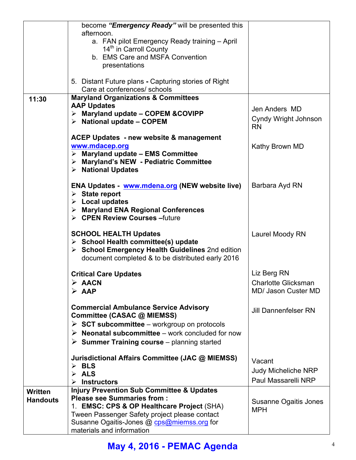|                 | become "Emergency Ready" will be presented this                                             |                                   |
|-----------------|---------------------------------------------------------------------------------------------|-----------------------------------|
|                 | afternoon.<br>a. FAN pilot Emergency Ready training - April                                 |                                   |
|                 | 14 <sup>th</sup> in Carroll County                                                          |                                   |
|                 | b. EMS Care and MSFA Convention                                                             |                                   |
|                 | presentations                                                                               |                                   |
|                 | 5. Distant Future plans - Capturing stories of Right                                        |                                   |
|                 | Care at conferences/ schools                                                                |                                   |
| 11:30           | <b>Maryland Organizations &amp; Committees</b><br><b>AAP Updates</b>                        |                                   |
|                 | $\triangleright$ Maryland update – COPEM & COVIPP                                           | Jen Anders MD                     |
|                 | $\triangleright$ National update - COPEM                                                    | Cyndy Wright Johnson<br><b>RN</b> |
|                 | <b>ACEP Updates - new website &amp; management</b>                                          |                                   |
|                 | www.mdacep.org                                                                              | Kathy Brown MD                    |
|                 | $\triangleright$ Maryland update - EMS Committee<br>> Maryland's NEW - Pediatric Committee  |                                   |
|                 | $\triangleright$ National Updates                                                           |                                   |
|                 |                                                                                             |                                   |
|                 | <b>ENA Updates</b> www.mdena.org (NEW website live)                                         | Barbara Ayd RN                    |
|                 | $\triangleright$ State report<br>$\triangleright$ Local updates                             |                                   |
|                 | > Maryland ENA Regional Conferences                                                         |                                   |
|                 | $\triangleright$ CPEN Review Courses - future                                               |                                   |
|                 | <b>SCHOOL HEALTH Updates</b>                                                                | Laurel Moody RN                   |
|                 | $\triangleright$ School Health committee(s) update                                          |                                   |
|                 | > School Emergency Health Guidelines 2nd edition                                            |                                   |
|                 | document completed & to be distributed early 2016                                           |                                   |
|                 | <b>Critical Care Updates</b>                                                                | Liz Berg RN                       |
|                 | $\triangleright$ AACN                                                                       | <b>Charlotte Glicksman</b>        |
|                 | $\triangleright$ AAP                                                                        | MD/ Jason Custer MD               |
|                 |                                                                                             |                                   |
|                 | <b>Commercial Ambulance Service Advisory</b><br>Committee (CASAC @ MIEMSS)                  | <b>Jill Dannenfelser RN</b>       |
|                 | $\triangleright$ SCT subcommittee – workgroup on protocols                                  |                                   |
|                 | $\triangleright$ Neonatal subcommittee – work concluded for now                             |                                   |
|                 | $\triangleright$ Summer Training course – planning started                                  |                                   |
|                 | Jurisdictional Affairs Committee (JAC @ MIEMSS)                                             | Vacant                            |
|                 | $\triangleright$ BLS<br>$\triangleright$ ALS                                                | <b>Judy Micheliche NRP</b>        |
|                 | <b>Instructors</b>                                                                          | Paul Massarelli NRP               |
| <b>Written</b>  | <b>Injury Prevention Sub Committee &amp; Updates</b>                                        |                                   |
| <b>Handouts</b> | <b>Please see Summaries from:</b>                                                           | <b>Susanne Ogaitis Jones</b>      |
|                 | 1. EMSC: CPS & OP Healthcare Project (SHA)                                                  | <b>MPH</b>                        |
|                 | Tween Passenger Safety project please contact<br>Susanne Ogaitis-Jones @ cps@miemss.org for |                                   |
|                 | materials and information                                                                   |                                   |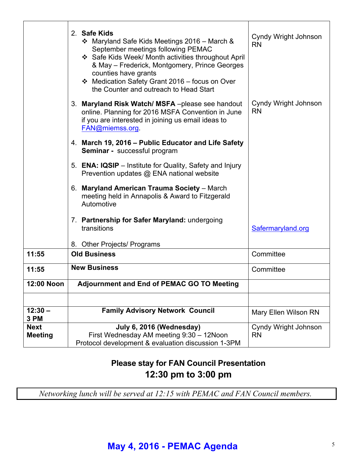|                               | 2. Safe Kids<br>❖ Maryland Safe Kids Meetings 2016 – March &<br>September meetings following PEMAC<br>❖ Safe Kids Week/ Month activities throughout April<br>& May - Frederick, Montgomery, Prince Georges<br>counties have grants<br>❖ Medication Safety Grant 2016 - focus on Over<br>the Counter and outreach to Head Start | Cyndy Wright Johnson<br><b>RN</b> |
|-------------------------------|--------------------------------------------------------------------------------------------------------------------------------------------------------------------------------------------------------------------------------------------------------------------------------------------------------------------------------|-----------------------------------|
|                               | 3. Maryland Risk Watch/MSFA-please see handout<br>online. Planning for 2016 MSFA Convention in June<br>if you are interested in joining us email ideas to<br>FAN@miemss.org                                                                                                                                                    | Cyndy Wright Johnson<br><b>RN</b> |
|                               | 4. March 19, 2016 - Public Educator and Life Safety<br>Seminar - successful program                                                                                                                                                                                                                                            |                                   |
|                               | 5. <b>ENA: IQSIP</b> – Institute for Quality, Safety and Injury<br>Prevention updates @ ENA national website                                                                                                                                                                                                                   |                                   |
|                               | 6. Maryland American Trauma Society - March<br>meeting held in Annapolis & Award to Fitzgerald<br>Automotive                                                                                                                                                                                                                   |                                   |
|                               | 7. Partnership for Safer Maryland: undergoing<br>transitions                                                                                                                                                                                                                                                                   | Safermaryland.org                 |
| 11:55                         | 8. Other Projects/ Programs<br><b>Old Business</b>                                                                                                                                                                                                                                                                             | Committee                         |
|                               |                                                                                                                                                                                                                                                                                                                                |                                   |
| 11:55                         | <b>New Business</b>                                                                                                                                                                                                                                                                                                            | Committee                         |
| 12:00 Noon                    | Adjournment and End of PEMAC GO TO Meeting                                                                                                                                                                                                                                                                                     |                                   |
|                               |                                                                                                                                                                                                                                                                                                                                |                                   |
| $12:30 -$<br>3 PM             | <b>Family Advisory Network Council</b>                                                                                                                                                                                                                                                                                         | Mary Ellen Wilson RN              |
| <b>Next</b><br><b>Meeting</b> | July 6, 2016 (Wednesday)<br>First Wednesday AM meeting 9:30 - 12Noon<br>Protocol development & evaluation discussion 1-3PM                                                                                                                                                                                                     | Cyndy Wright Johnson<br><b>RN</b> |

### **Please stay for FAN Council Presentation 12:30 pm to 3:00 pm**

*Networking lunch will be served at 12:15 with PEMAC and FAN Council members.*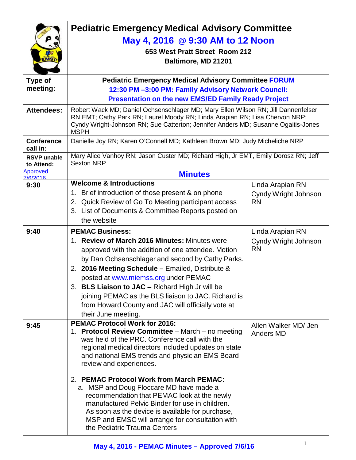| :MS)                             | <b>Pediatric Emergency Medical Advisory Committee</b><br>May 4, 2016 @ 9:30 AM to 12 Noon<br>653 West Pratt Street Room 212<br>Baltimore, MD 21201                                                                                                                                                                                                                                                                                                                                                                                                                                                               |                                                       |
|----------------------------------|------------------------------------------------------------------------------------------------------------------------------------------------------------------------------------------------------------------------------------------------------------------------------------------------------------------------------------------------------------------------------------------------------------------------------------------------------------------------------------------------------------------------------------------------------------------------------------------------------------------|-------------------------------------------------------|
| Type of                          | <b>Pediatric Emergency Medical Advisory Committee FORUM</b>                                                                                                                                                                                                                                                                                                                                                                                                                                                                                                                                                      |                                                       |
| meeting:                         | 12:30 PM-3:00 PM: Family Advisory Network Council:                                                                                                                                                                                                                                                                                                                                                                                                                                                                                                                                                               |                                                       |
|                                  | <b>Presentation on the new EMS/ED Family Ready Project</b>                                                                                                                                                                                                                                                                                                                                                                                                                                                                                                                                                       |                                                       |
| <b>Attendees:</b>                | Robert Wack MD; Daniel Ochsenschlager MD; Mary Ellen Wilson RN; Jill Dannenfelser<br>RN EMT; Cathy Park RN; Laurel Moody RN; Linda Arapian RN; Lisa Chervon NRP;<br>Cyndy Wright-Johnson RN; Sue Catterton; Jennifer Anders MD; Susanne Ogaitis-Jones<br><b>MSPH</b>                                                                                                                                                                                                                                                                                                                                             |                                                       |
| <b>Conference</b><br>call in:    | Danielle Joy RN; Karen O'Connell MD; Kathleen Brown MD; Judy Micheliche NRP                                                                                                                                                                                                                                                                                                                                                                                                                                                                                                                                      |                                                       |
| <b>RSVP</b> unable<br>to Attend: | Mary Alice Vanhoy RN; Jason Custer MD; Richard High, Jr EMT, Emily Dorosz RN; Jeff<br><b>Sexton NRP</b>                                                                                                                                                                                                                                                                                                                                                                                                                                                                                                          |                                                       |
| <b>Approved</b><br>7/6/2016      | <b>Minutes</b>                                                                                                                                                                                                                                                                                                                                                                                                                                                                                                                                                                                                   |                                                       |
| 9:30                             | <b>Welcome &amp; Introductions</b><br>1. Brief introduction of those present & on phone<br>2. Quick Review of Go To Meeting participant access<br>3. List of Documents & Committee Reports posted on<br>the website                                                                                                                                                                                                                                                                                                                                                                                              | Linda Arapian RN<br>Cyndy Wright Johnson<br><b>RN</b> |
| 9:40                             | <b>PEMAC Business:</b>                                                                                                                                                                                                                                                                                                                                                                                                                                                                                                                                                                                           | Linda Arapian RN                                      |
|                                  | 1. Review of March 2016 Minutes: Minutes were<br>approved with the addition of one attendee. Motion<br>by Dan Ochsenschlager and second by Cathy Parks.<br>2. 2016 Meeting Schedule - Emailed, Distribute &<br>posted at www.miemss.org under PEMAC<br>3. BLS Liaison to JAC - Richard High Jr will be<br>joining PEMAC as the BLS liaison to JAC. Richard is<br>from Howard County and JAC will officially vote at<br>their June meeting.                                                                                                                                                                       | Cyndy Wright Johnson<br><b>RN</b>                     |
| 9:45                             | <b>PEMAC Protocol Work for 2016:</b><br>1. Protocol Review Committee - March - no meeting<br>was held of the PRC. Conference call with the<br>regional medical directors included updates on state<br>and national EMS trends and physician EMS Board<br>review and experiences.<br>2. PEMAC Protocol Work from March PEMAC:<br>a. MSP and Doug Floccare MD have made a<br>recommendation that PEMAC look at the newly<br>manufactured Pelvic Binder for use in children.<br>As soon as the device is available for purchase,<br>MSP and EMSC will arrange for consultation with<br>the Pediatric Trauma Centers | Allen Walker MD/ Jen<br><b>Anders MD</b>              |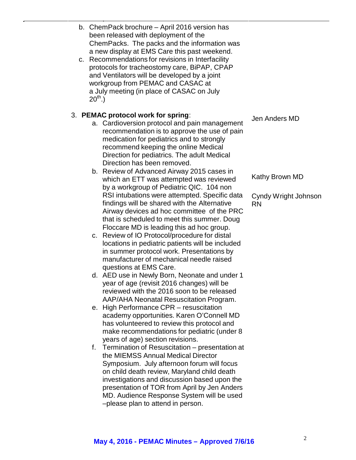| b. ChemPack brochure - April 2016 version has<br>been released with deployment of the<br>ChemPacks. The packs and the information was<br>a new display at EMS Care this past weekend.<br>c. Recommendations for revisions in Interfacility<br>protocols for tracheostomy care, BiPAP, CPAP<br>and Ventilators will be developed by a joint<br>workgroup from PEMAC and CASAC at<br>a July meeting (in place of CASAC on July<br>$20^{th}$ .)<br>3. PEMAC protocol work for spring:<br>Jen Anders MD<br>a. Cardioversion protocol and pain management<br>recommendation is to approve the use of pain<br>medication for pediatrics and to strongly<br>recommend keeping the online Medical<br>Direction for pediatrics. The adult Medical<br>Direction has been removed.<br>b. Review of Advanced Airway 2015 cases in<br>Kathy Brown MD<br>which an ETT was attempted was reviewed<br>by a workgroup of Pediatric QIC. 104 non<br>RSI intubations were attempted. Specific data<br>Cyndy Wright Johnson<br>findings will be shared with the Alternative<br><b>RN</b><br>Airway devices ad hoc committee of the PRC<br>that is scheduled to meet this summer. Doug<br>Floccare MD is leading this ad hoc group.<br>Review of IO Protocol/procedure for distal<br>C.<br>locations in pediatric patients will be included<br>in summer protocol work. Presentations by<br>manufacturer of mechanical needle raised<br>questions at EMS Care.<br>d. AED use in Newly Born, Neonate and under 1<br>year of age (revisit 2016 changes) will be<br>reviewed with the 2016 soon to be released<br>AAP/AHA Neonatal Resuscitation Program.<br>e. High Performance CPR – resuscitation<br>academy opportunities. Karen O'Connell MD<br>has volunteered to review this protocol and<br>make recommendations for pediatric (under 8<br>years of age) section revisions.<br>Termination of Resuscitation - presentation at<br>f.<br>the MIEMSS Annual Medical Director<br>Symposium. July afternoon forum will focus<br>on child death review, Maryland child death<br>investigations and discussion based upon the<br>presentation of TOR from April by Jen Anders<br>MD. Audience Response System will be used<br>-please plan to attend in person. |  |  |  |
|------------------------------------------------------------------------------------------------------------------------------------------------------------------------------------------------------------------------------------------------------------------------------------------------------------------------------------------------------------------------------------------------------------------------------------------------------------------------------------------------------------------------------------------------------------------------------------------------------------------------------------------------------------------------------------------------------------------------------------------------------------------------------------------------------------------------------------------------------------------------------------------------------------------------------------------------------------------------------------------------------------------------------------------------------------------------------------------------------------------------------------------------------------------------------------------------------------------------------------------------------------------------------------------------------------------------------------------------------------------------------------------------------------------------------------------------------------------------------------------------------------------------------------------------------------------------------------------------------------------------------------------------------------------------------------------------------------------------------------------------------------------------------------------------------------------------------------------------------------------------------------------------------------------------------------------------------------------------------------------------------------------------------------------------------------------------------------------------------------------------------------------------------------------------------------------------------------------------------------------|--|--|--|
|                                                                                                                                                                                                                                                                                                                                                                                                                                                                                                                                                                                                                                                                                                                                                                                                                                                                                                                                                                                                                                                                                                                                                                                                                                                                                                                                                                                                                                                                                                                                                                                                                                                                                                                                                                                                                                                                                                                                                                                                                                                                                                                                                                                                                                          |  |  |  |
|                                                                                                                                                                                                                                                                                                                                                                                                                                                                                                                                                                                                                                                                                                                                                                                                                                                                                                                                                                                                                                                                                                                                                                                                                                                                                                                                                                                                                                                                                                                                                                                                                                                                                                                                                                                                                                                                                                                                                                                                                                                                                                                                                                                                                                          |  |  |  |
|                                                                                                                                                                                                                                                                                                                                                                                                                                                                                                                                                                                                                                                                                                                                                                                                                                                                                                                                                                                                                                                                                                                                                                                                                                                                                                                                                                                                                                                                                                                                                                                                                                                                                                                                                                                                                                                                                                                                                                                                                                                                                                                                                                                                                                          |  |  |  |
|                                                                                                                                                                                                                                                                                                                                                                                                                                                                                                                                                                                                                                                                                                                                                                                                                                                                                                                                                                                                                                                                                                                                                                                                                                                                                                                                                                                                                                                                                                                                                                                                                                                                                                                                                                                                                                                                                                                                                                                                                                                                                                                                                                                                                                          |  |  |  |
|                                                                                                                                                                                                                                                                                                                                                                                                                                                                                                                                                                                                                                                                                                                                                                                                                                                                                                                                                                                                                                                                                                                                                                                                                                                                                                                                                                                                                                                                                                                                                                                                                                                                                                                                                                                                                                                                                                                                                                                                                                                                                                                                                                                                                                          |  |  |  |
|                                                                                                                                                                                                                                                                                                                                                                                                                                                                                                                                                                                                                                                                                                                                                                                                                                                                                                                                                                                                                                                                                                                                                                                                                                                                                                                                                                                                                                                                                                                                                                                                                                                                                                                                                                                                                                                                                                                                                                                                                                                                                                                                                                                                                                          |  |  |  |
|                                                                                                                                                                                                                                                                                                                                                                                                                                                                                                                                                                                                                                                                                                                                                                                                                                                                                                                                                                                                                                                                                                                                                                                                                                                                                                                                                                                                                                                                                                                                                                                                                                                                                                                                                                                                                                                                                                                                                                                                                                                                                                                                                                                                                                          |  |  |  |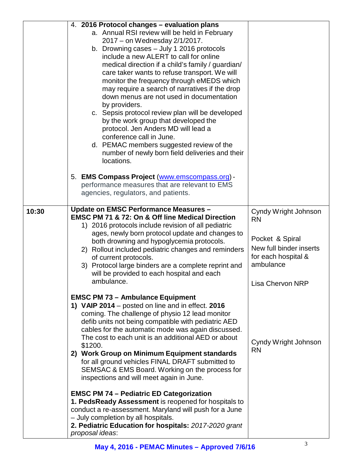|       | 4. 2016 Protocol changes - evaluation plans<br>a. Annual RSI review will be held in February<br>2017 - on Wednesday 2/1/2017.<br>b. Drowning cases - July 1 2016 protocols<br>include a new ALERT to call for online<br>medical direction if a child's family / guardian/<br>care taker wants to refuse transport. We will<br>monitor the frequency through eMEDS which<br>may require a search of narratives if the drop<br>down menus are not used in documentation<br>by providers.<br>c. Sepsis protocol review plan will be developed<br>by the work group that developed the<br>protocol. Jen Anders MD will lead a<br>conference call in June.<br>d. PEMAC members suggested review of the<br>number of newly born field deliveries and their<br>locations. |                                                                                                                                                |
|-------|--------------------------------------------------------------------------------------------------------------------------------------------------------------------------------------------------------------------------------------------------------------------------------------------------------------------------------------------------------------------------------------------------------------------------------------------------------------------------------------------------------------------------------------------------------------------------------------------------------------------------------------------------------------------------------------------------------------------------------------------------------------------|------------------------------------------------------------------------------------------------------------------------------------------------|
|       | 5. EMS Compass Project (www.emscompass.org) -<br>performance measures that are relevant to EMS<br>agencies, regulators, and patients.                                                                                                                                                                                                                                                                                                                                                                                                                                                                                                                                                                                                                              |                                                                                                                                                |
| 10:30 | Update on EMSC Performance Measures -<br><b>EMSC PM 71 &amp; 72: On &amp; Off line Medical Direction</b><br>1) 2016 protocols include revision of all pediatric<br>ages, newly born protocol update and changes to<br>both drowning and hypoglycemia protocols.<br>2) Rollout included pediatric changes and reminders<br>of current protocols.<br>3) Protocol large binders are a complete reprint and<br>will be provided to each hospital and each<br>ambulance.                                                                                                                                                                                                                                                                                                | Cyndy Wright Johnson<br><b>RN</b><br>Pocket & Spiral<br>New full binder inserts<br>for each hospital &<br>ambulance<br><b>Lisa Chervon NRP</b> |
|       | <b>EMSC PM 73 - Ambulance Equipment</b><br>1) VAIP 2014 – posted on line and in effect. 2016<br>coming. The challenge of physio 12 lead monitor<br>defib units not being compatible with pediatric AED<br>cables for the automatic mode was again discussed.<br>The cost to each unit is an additional AED or about<br>\$1200.<br>2) Work Group on Minimum Equipment standards<br>for all ground vehicles FINAL DRAFT submitted to<br>SEMSAC & EMS Board. Working on the process for<br>inspections and will meet again in June.                                                                                                                                                                                                                                   | Cyndy Wright Johnson<br><b>RN</b>                                                                                                              |
|       | <b>EMSC PM 74 - Pediatric ED Categorization</b><br>1. PedsReady Assessment is reopened for hospitals to<br>conduct a re-assessment. Maryland will push for a June<br>- July completion by all hospitals.<br>2. Pediatric Education for hospitals: 2017-2020 grant<br>proposal ideas:                                                                                                                                                                                                                                                                                                                                                                                                                                                                               |                                                                                                                                                |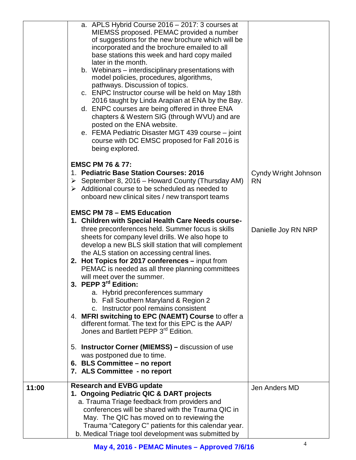|       | a. APLS Hybrid Course 2016 - 2017: 3 courses at<br>MIEMSS proposed. PEMAC provided a number<br>of suggestions for the new brochure which will be<br>incorporated and the brochure emailed to all<br>base stations this week and hard copy mailed<br>later in the month.<br>b. Webinars – interdisciplinary presentations with<br>model policies, procedures, algorithms,<br>pathways. Discussion of topics.<br>c. ENPC Instructor course will be held on May 18th<br>2016 taught by Linda Arapian at ENA by the Bay.<br>d. ENPC courses are being offered in three ENA<br>chapters & Western SIG (through WVU) and are<br>posted on the ENA website.<br>e. FEMA Pediatric Disaster MGT 439 course – joint<br>course with DC EMSC proposed for Fall 2016 is<br>being explored.                                                                                                                                 |                                   |
|-------|---------------------------------------------------------------------------------------------------------------------------------------------------------------------------------------------------------------------------------------------------------------------------------------------------------------------------------------------------------------------------------------------------------------------------------------------------------------------------------------------------------------------------------------------------------------------------------------------------------------------------------------------------------------------------------------------------------------------------------------------------------------------------------------------------------------------------------------------------------------------------------------------------------------|-----------------------------------|
|       | <b>EMSC PM 76 &amp; 77:</b><br>1. Pediatric Base Station Courses: 2016<br>$\triangleright$ September 8, 2016 – Howard County (Thursday AM)<br>$\triangleright$ Additional course to be scheduled as needed to<br>onboard new clinical sites / new transport teams                                                                                                                                                                                                                                                                                                                                                                                                                                                                                                                                                                                                                                             | Cyndy Wright Johnson<br><b>RN</b> |
|       | <b>EMSC PM 78 - EMS Education</b><br>1. Children with Special Health Care Needs course-<br>three preconferences held. Summer focus is skills<br>sheets for company level drills. We also hope to<br>develop a new BLS skill station that will complement<br>the ALS station on accessing central lines.<br>2. Hot Topics for 2017 conferences - input from<br>PEMAC is needed as all three planning committees<br>will meet over the summer.<br>3. PEPP 3 <sup>rd</sup> Edition:<br>a. Hybrid preconferences summary<br>b. Fall Southern Maryland & Region 2<br>c. Instructor pool remains consistent<br>4. MFRI switching to EPC (NAEMT) Course to offer a<br>different format. The text for this EPC is the AAP/<br>Jones and Bartlett PEPP 3rd Edition.<br>5. Instructor Corner (MIEMSS) – discussion of use<br>was postponed due to time.<br>6. BLS Committee - no report<br>7. ALS Committee - no report | Danielle Joy RN NRP               |
| 11:00 | <b>Research and EVBG update</b><br>1. Ongoing Pediatric QIC & DART projects<br>a. Trauma Triage feedback from providers and<br>conferences will be shared with the Trauma QIC in<br>May. The QIC has moved on to reviewing the<br>Trauma "Category C" patients for this calendar year.<br>b. Medical Triage tool development was submitted by                                                                                                                                                                                                                                                                                                                                                                                                                                                                                                                                                                 | Jen Anders MD                     |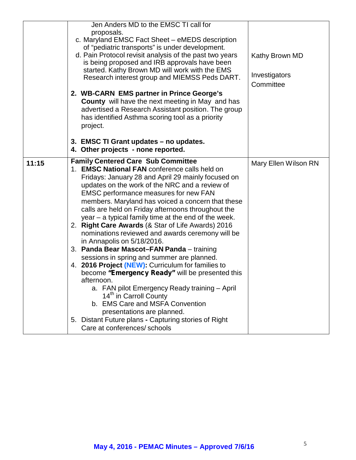|       | Jen Anders MD to the EMSC TI call for<br>proposals.<br>c. Maryland EMSC Fact Sheet - eMEDS description<br>of "pediatric transports" is under development.<br>d. Pain Protocol revisit analysis of the past two years<br>is being proposed and IRB approvals have been<br>started. Kathy Brown MD will work with the EMS<br>Research interest group and MIEMSS Peds DART.<br>2. WB-CARN EMS partner in Prince George's<br><b>County</b> will have the next meeting in May and has<br>advertised a Research Assistant position. The group<br>has identified Asthma scoring tool as a priority<br>project.                                                                                                                                                                                                                                                                                                                                                                                                                       | Kathy Brown MD<br>Investigators<br>Committee |
|-------|-------------------------------------------------------------------------------------------------------------------------------------------------------------------------------------------------------------------------------------------------------------------------------------------------------------------------------------------------------------------------------------------------------------------------------------------------------------------------------------------------------------------------------------------------------------------------------------------------------------------------------------------------------------------------------------------------------------------------------------------------------------------------------------------------------------------------------------------------------------------------------------------------------------------------------------------------------------------------------------------------------------------------------|----------------------------------------------|
|       | 3. EMSC TI Grant updates - no updates.<br>4. Other projects - none reported.                                                                                                                                                                                                                                                                                                                                                                                                                                                                                                                                                                                                                                                                                                                                                                                                                                                                                                                                                  |                                              |
| 11:15 | <b>Family Centered Care Sub Committee</b><br>1. EMSC National FAN conference calls held on<br>Fridays: January 28 and April 29 mainly focused on<br>updates on the work of the NRC and a review of<br><b>EMSC performance measures for new FAN</b><br>members. Maryland has voiced a concern that these<br>calls are held on Friday afternoons throughout the<br>year – a typical family time at the end of the week.<br>2. Right Care Awards (& Star of Life Awards) 2016<br>nominations reviewed and awards ceremony will be<br>in Annapolis on 5/18/2016.<br>3. Panda Bear Mascot-FAN Panda - training<br>sessions in spring and summer are planned.<br>4. 2016 Project (NEW): Curriculum for families to<br>become "Emergency Ready" will be presented this<br>afternoon.<br>a. FAN pilot Emergency Ready training - April<br>14 <sup>th</sup> in Carroll County<br>b. EMS Care and MSFA Convention<br>presentations are planned.<br>5. Distant Future plans - Capturing stories of Right<br>Care at conferences/ schools | Mary Ellen Wilson RN                         |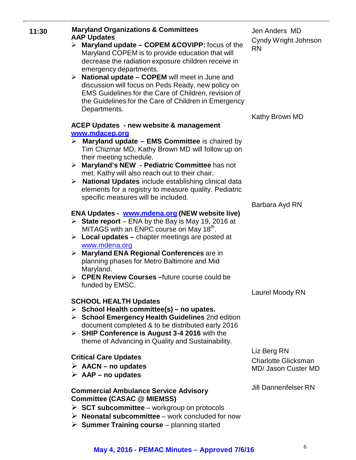| 11:30 | <b>Maryland Organizations &amp; Committees</b><br><b>AAP Updates</b>                                                                                                               | Jen Anders MD<br>Cyndy Wright Johnson |
|-------|------------------------------------------------------------------------------------------------------------------------------------------------------------------------------------|---------------------------------------|
|       | Maryland update – COPEM & COVIPP: focus of the<br>➤<br>Maryland COPEM is to provide education that will<br>decrease the radiation exposure children receive in                     | <b>RN</b>                             |
|       | emergency departments.<br>$\triangleright$ National update – COPEM will meet in June and                                                                                           |                                       |
|       | discussion will focus on Peds Ready, new policy on<br>EMS Guidelines for the Care of Children, revision of<br>the Guidelines for the Care of Children in Emergency<br>Departments. |                                       |
|       |                                                                                                                                                                                    | Kathy Brown MD                        |
|       | <b>ACEP Updates - new website &amp; management</b>                                                                                                                                 |                                       |
|       | www.mdacep.org<br>$\triangleright$ Maryland update – EMS Committee is chaired by<br>Tim Chizmar MD, Kathy Brown MD will follow up on                                               |                                       |
|       | their meeting schedule.                                                                                                                                                            |                                       |
|       | > Maryland's NEW - Pediatric Committee has not<br>met. Kathy will also reach out to their chair.                                                                                   |                                       |
|       | <b>National Updates include establishing clinical data</b><br>➤                                                                                                                    |                                       |
|       | elements for a registry to measure quality. Pediatric                                                                                                                              |                                       |
|       | specific measures will be included.                                                                                                                                                |                                       |
|       |                                                                                                                                                                                    | Barbara Ayd RN                        |
|       | <b>ENA Updates - www.mdena.org (NEW website live)</b><br>State report – ENA by the Bay is May 19, 2016 at<br>MITAGS with an ENPC course on May 18th.                               |                                       |
|       | $\triangleright$ Local updates – chapter meetings are posted at<br>www.mdena.org                                                                                                   |                                       |
|       | <b>Maryland ENA Regional Conferences are in</b><br>➤<br>planning phases for Metro Baltimore and Mid<br>Maryland.                                                                   |                                       |
|       | $\triangleright$ CPEN Review Courses - future course could be                                                                                                                      |                                       |
|       | funded by EMSC.                                                                                                                                                                    | Laurel Moody RN                       |
|       | <b>SCHOOL HEALTH Updates</b>                                                                                                                                                       |                                       |
|       | $\triangleright$ School Health committee(s) – no upates.                                                                                                                           |                                       |
|       | $\triangleright$ School Emergency Health Guidelines 2nd edition<br>document completed & to be distributed early 2016                                                               |                                       |
|       | > SHIP Conference is August 3-4 2016 with the                                                                                                                                      |                                       |
|       | theme of Advancing in Quality and Sustainability.                                                                                                                                  |                                       |
|       |                                                                                                                                                                                    | Liz Berg RN                           |
|       | <b>Critical Care Updates</b><br>$\triangleright$ AACN – no updates                                                                                                                 | <b>Charlotte Glicksman</b>            |
|       | $\triangleright$ AAP – no updates                                                                                                                                                  | <b>MD/ Jason Custer MD</b>            |
|       |                                                                                                                                                                                    |                                       |
|       | <b>Commercial Ambulance Service Advisory</b><br><b>Committee (CASAC @ MIEMSS)</b>                                                                                                  | <b>Jill Dannenfelser RN</b>           |
|       | $\triangleright$ SCT subcommittee – workgroup on protocols                                                                                                                         |                                       |

#### **May 4, 2016 - PEMAC Minutes – Approved 7/6/16** <sup>6</sup>

**Neonatal subcommittee** – work concluded for now

**Summer Training course** – planning started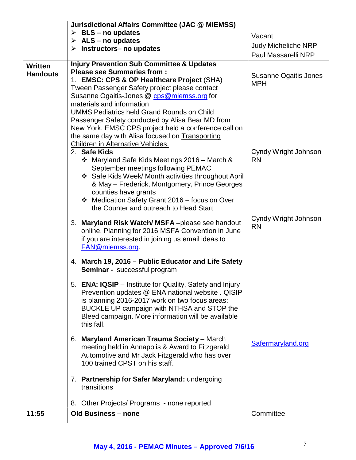|                            | Jurisdictional Affairs Committee (JAC @ MIEMSS)<br>$\triangleright$ BLS – no updates<br>$\triangleright$ ALS – no updates<br>$\triangleright$ Instructors-no updates                                                                                                                                                                                                                                                                                                                                                                                                                                                                                                                                                                                                                                                                                                                                                                                                                                                                                                                                 | Vacant<br><b>Judy Micheliche NRP</b><br>Paul Massarelli NRP                                                   |  |
|----------------------------|------------------------------------------------------------------------------------------------------------------------------------------------------------------------------------------------------------------------------------------------------------------------------------------------------------------------------------------------------------------------------------------------------------------------------------------------------------------------------------------------------------------------------------------------------------------------------------------------------------------------------------------------------------------------------------------------------------------------------------------------------------------------------------------------------------------------------------------------------------------------------------------------------------------------------------------------------------------------------------------------------------------------------------------------------------------------------------------------------|---------------------------------------------------------------------------------------------------------------|--|
| Written<br><b>Handouts</b> | <b>Injury Prevention Sub Committee &amp; Updates</b><br><b>Please see Summaries from:</b><br>1. EMSC: CPS & OP Healthcare Project (SHA)<br>Tween Passenger Safety project please contact<br>Susanne Ogaitis-Jones @ cps@miemss.org for<br>materials and information<br><b>UMMS Pediatrics held Grand Rounds on Child</b><br>Passenger Safety conducted by Alisa Bear MD from<br>New York. EMSC CPS project held a conference call on<br>the same day with Alisa focused on Transporting<br>Children in Alternative Vehicles.<br>2. Safe Kids<br>❖ Maryland Safe Kids Meetings 2016 – March &<br>September meetings following PEMAC<br>❖ Safe Kids Week/ Month activities throughout April<br>& May - Frederick, Montgomery, Prince Georges<br>counties have grants<br>❖ Medication Safety Grant 2016 - focus on Over<br>the Counter and outreach to Head Start<br>3. Maryland Risk Watch/MSFA-please see handout<br>online. Planning for 2016 MSFA Convention in June<br>if you are interested in joining us email ideas to<br>FAN@miemss.org<br>4. March 19, 2016 – Public Educator and Life Safety | Susanne Ogaitis Jones<br><b>MPH</b><br>Cyndy Wright Johnson<br><b>RN</b><br>Cyndy Wright Johnson<br><b>RN</b> |  |
|                            | Seminar - successful program<br>5. ENA: IQSIP - Institute for Quality, Safety and Injury<br>Prevention updates @ ENA national website . QISIP<br>is planning 2016-2017 work on two focus areas:<br>BUCKLE UP campaign with NTHSA and STOP the<br>Bleed campaign. More information will be available<br>this fall.<br>6. Maryland American Trauma Society - March<br>meeting held in Annapolis & Award to Fitzgerald<br>Automotive and Mr Jack Fitzgerald who has over<br>100 trained CPST on his staff.<br>7. Partnership for Safer Maryland: undergoing<br>transitions<br>8. Other Projects/ Programs - none reported                                                                                                                                                                                                                                                                                                                                                                                                                                                                               | Safermaryland.org                                                                                             |  |
| 11:55                      | <b>Old Business - none</b>                                                                                                                                                                                                                                                                                                                                                                                                                                                                                                                                                                                                                                                                                                                                                                                                                                                                                                                                                                                                                                                                           | Committee                                                                                                     |  |